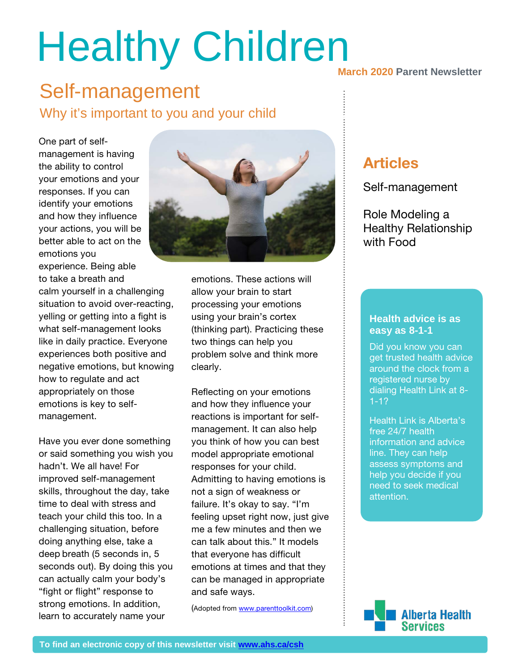# **Healthy Children**

#### $\Omega$  is the canonical from a registered health advice around the clock from a registered nurse by dialing Health advice around the clock from a registered nurse by dialing Health and  $\alpha$ Self-management Why it's important to you and your child example assess symptoms and and symptoms and  $\frac{1}{2}$

One part of selfmanagement is having the ability to control your emotions and your responses. If you can identify your emotions and how they influence your actions, you will be better able to act on the emotions you experience. Being able to take a breath and calm yourself in a challenging

situation to avoid over-reacting, yelling or getting into a fight is what self-management looks like in daily practice. Everyone experiences both positive and negative emotions, but knowing how to regulate and act appropriately on those emotions is key to selfmanagement.

Have you ever done something or said something you wish you hadn't. We all have! For improved self-management skills, throughout the day, take time to deal with stress and teach your child this too. In a challenging situation, before doing anything else, take a deep breath (5 seconds in, 5 seconds out). By doing this you can actually calm your body's "fight or flight" response to strong emotions. In addition, learn to accurately name your



emotions. These actions will allow your brain to start processing your emotions using your brain's cortex (thinking part). Practicing these two things can help you problem solve and think more clearly.

Reflecting on your emotions and how they influence your reactions is important for selfmanagement. It can also help you think of how you can best model appropriate emotional responses for your child. Admitting to having emotions is not a sign of weakness or failure. It's okay to say. "I'm feeling upset right now, just give me a few minutes and then we can talk about this." It models that everyone has difficult emotions at times and that they can be managed in appropriate and safe ways.

(Adopted fro[m www.parenttoolkit.com\)](http://www.parenttoolkit.com/)

#### **March 2020 Parent Newsletter**

#### Articles

Self-management

Role Modeling a Healthy Relationship with Food

#### **Health advice is as**  $\overline{\phantom{a}}$ **easy as 8-1-1**

**30%** dialing Health Link at 8- Did you know you can get trusted health advice around the clock from a registered nurse by 1-1?

mic. They can help<br>assess symptoms and Health Link is Alberta's free 24/7 health information and advice line. They can help help you decide if you need to seek medical attention.

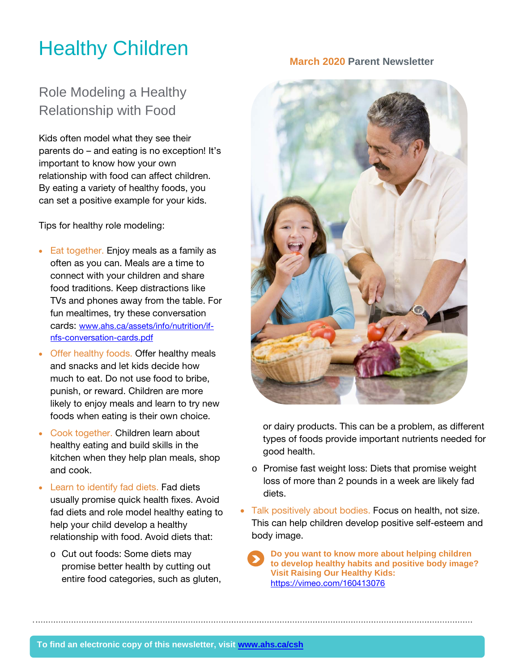## **March 2020 Parent Newsletter** March 2020 Parent Newsletter

### Role Modeling a Healthy Relationship with Food

Kids often model what they see their parents do – and eating is no exception! It's important to know how your own relationship with food can affect children. By eating a variety of healthy foods, you can set a positive example for your kids.

Tips for healthy role modeling:

- Eat together. Enjoy meals as a family as often as you can. Meals are a time to connect with your children and share food traditions. Keep distractions like TVs and phones away from the table. For fun mealtimes, try these conversation cards: [www.ahs.ca/assets/info/nutrition/if](http://www.ahs.ca/assets/info/nutrition/if-nfs-conversation-cards.pdf)[nfs-conversation-cards.pdf](http://www.ahs.ca/assets/info/nutrition/if-nfs-conversation-cards.pdf)
- Offer healthy foods. Offer healthy meals and snacks and let kids decide how much to eat. Do not use food to bribe, punish, or reward. Children are more likely to enjoy meals and learn to try new foods when eating is their own choice.
- Cook together. Children learn about healthy eating and build skills in the kitchen when they help plan meals, shop and cook.
- Learn to identify fad diets. Fad diets usually promise quick health fixes. Avoid fad diets and role model healthy eating to help your child develop a healthy relationship with food. Avoid diets that:
	- o Cut out foods: Some diets may promise better health by cutting out entire food categories, such as gluten,



or dairy products. This can be a problem, as different types of foods provide important nutrients needed for good health.

- o Promise fast weight loss: Diets that promise weight loss of more than 2 pounds in a week are likely fad diets.
- Talk positively about bodies. Focus on health, not size. This can help children develop positive self-esteem and body image.

**Do you want to know more about helping children to develop healthy habits and positive body image? Visit Raising Our Healthy Kids:**  <https://vimeo.com/160413076>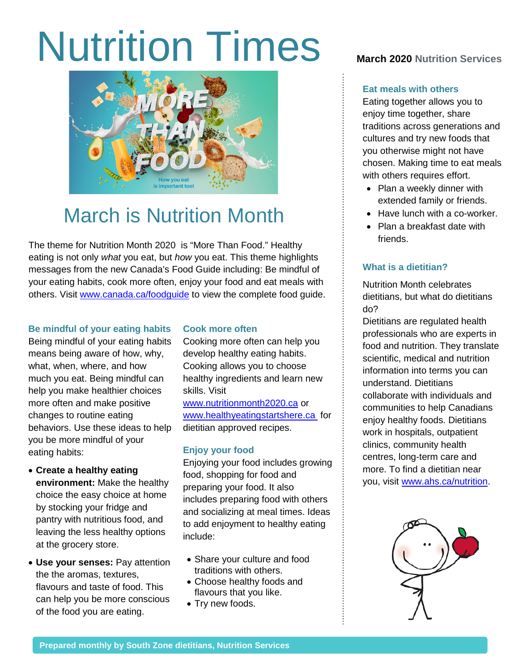# Nutrition Times **March <sup>2020</sup> Nutrition Services**



## March is Nutrition Month

The theme for Nutrition Month 2020 is "More Than Food." Healthy eating is not only *what* you eat, but *how* you eat. This theme highlights messages from the new Canada's Food Guide including: Be mindful of your eating habits, cook more often, enjoy your food and eat meals with others. Visit [www.canada.ca/foodguide](http://www.canada.ca/foodguide) to view the complete food guide.

#### **Be mindful of your eating habits**

Being mindful of your eating habits means being aware of how, why, what, when, where, and how much you eat. Being mindful can help you make healthier choices more often and make positive changes to routine eating behaviors. Use these ideas to help you be more mindful of your eating habits:

- **Create a healthy eating environment:** Make the healthy choice the easy choice at home by stocking your fridge and pantry with nutritious food, and leaving the less healthy options at the grocery store.
- **Use your senses:** Pay attention the the aromas, textures, flavours and taste of food. This can help you be more conscious of the food you are eating.

#### **Cook more often**

Cooking more often can help you develop healthy eating habits. Cooking allows you to choose healthy ingredients and learn new skills. Visit

[www.nutritionmonth2020.ca](http://www.nutritionmonth2020.ca/) or [www.healthyeatingstartshere.ca](http://www.healthyeatingstartshere.ca/) for dietitian approved recipes.

#### **Enjoy your food**

Enjoying your food includes growing food, shopping for food and preparing your food. It also includes preparing food with others and socializing at meal times. Ideas to add enjoyment to healthy eating include:

- Share your culture and food traditions with others.
- Choose healthy foods and flavours that you like.
- Try new foods.

#### **Eat meals with others**

Eating together allows you to enjoy time together, share traditions across generations and cultures and try new foods that you otherwise might not have chosen. Making time to eat meals with others requires effort.

- Plan a weekly dinner with extended family or friends.
- Have lunch with a co-worker.
- Plan a breakfast date with friends.

#### **What is a dietitian?**

Nutrition Month celebrates dietitians, but what do dietitians do?

Dietitians are regulated health professionals who are experts in food and nutrition. They translate scientific, medical and nutrition information into terms you can understand. Dietitians collaborate with individuals and communities to help Canadians enjoy healthy foods. Dietitians work in hospitals, outpatient clinics, community health centres, long-term care and more. To find a dietitian near you, visit [www.ahs.ca/nutrition.](http://www.ahs.ca/nutrition)